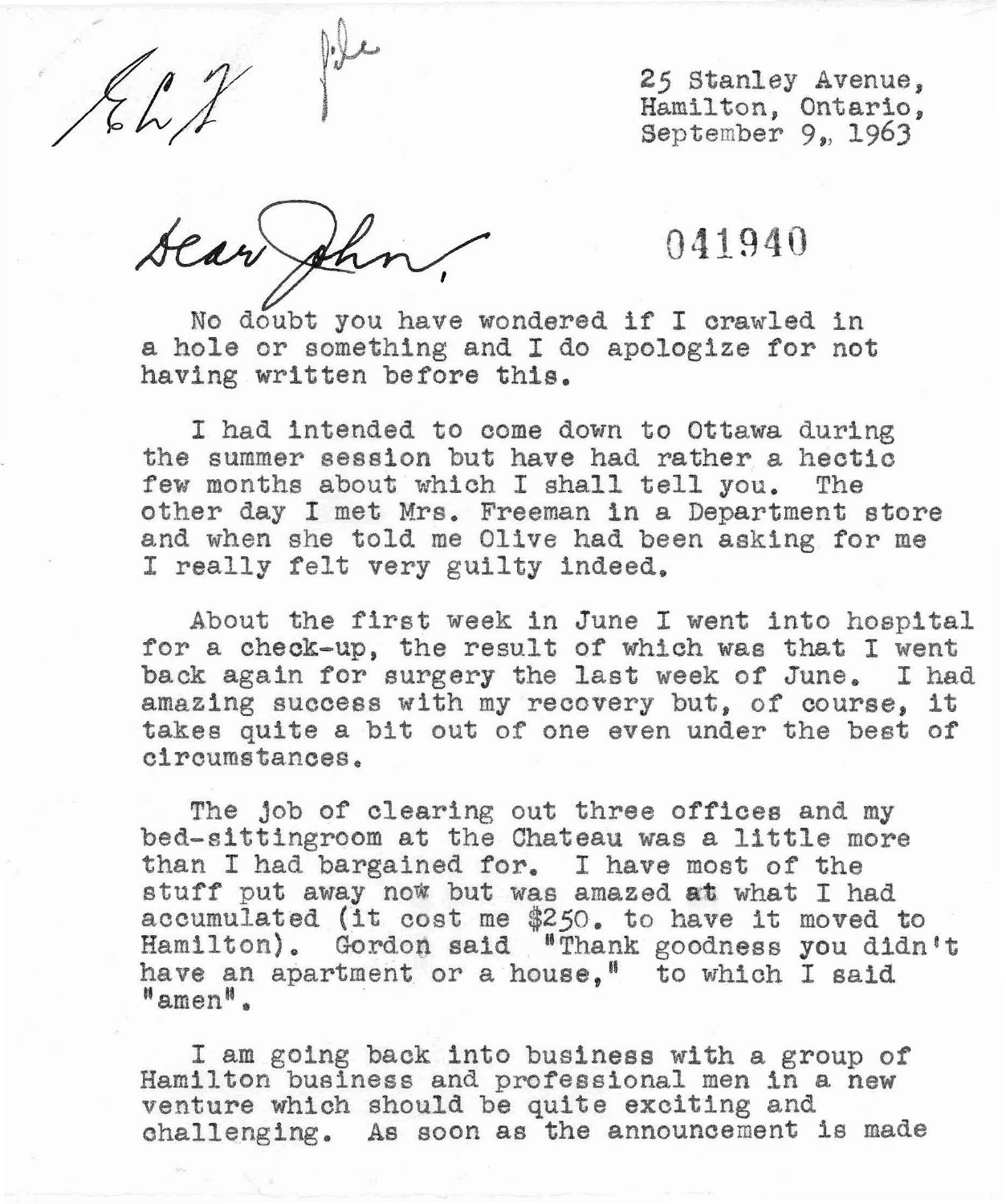**25** Stanley Avenue, Hamilton, Ontario, September 9, **1963** 

Let 25 Stanley Avenue<br>
Hamilton, Ontario<br>
September 9, 1969<br>
Near Channel 1 September 9, 1969<br>
No doubt you have wondered if I crawled in<br>
a hole or something and I do apologize for not<br>
having written before this. No doubt you have wondered if I crawled in a hole or something and I do apologize for not having written before this.

I had intended to come down to Ottawa during the summer session but have had rather a hectic few months about which I shall tell you. The other day I met Mrs. Freeman in a Department store and when **she** told me **Olive** had been asking for me I really felt very guilty indeed.

About the first week in June I went into hospital for a check-up, the result of whlch was that I went back again for surgery the last week of June, I had amazing success with my recovery but, of course, it takes quite a bit out of one even under the best of circumstances,

The job of clearing out three offices and my bed-sittingroom at the Chateau was a little more than I had bargained for, I have most of the stuff put away now but was amazed at what I had accumulated (it cost me \$250. to have it moved to Hamilton). Gordon said "Thank goodness you didn't have an apartment or a house,<sup>8</sup> to which I said  $"$ amen $"$ .

I am going **back** into business with a group of Hamilton business and professional men in a new venture which should be quite exciting and challenging. As soon as the announcement is made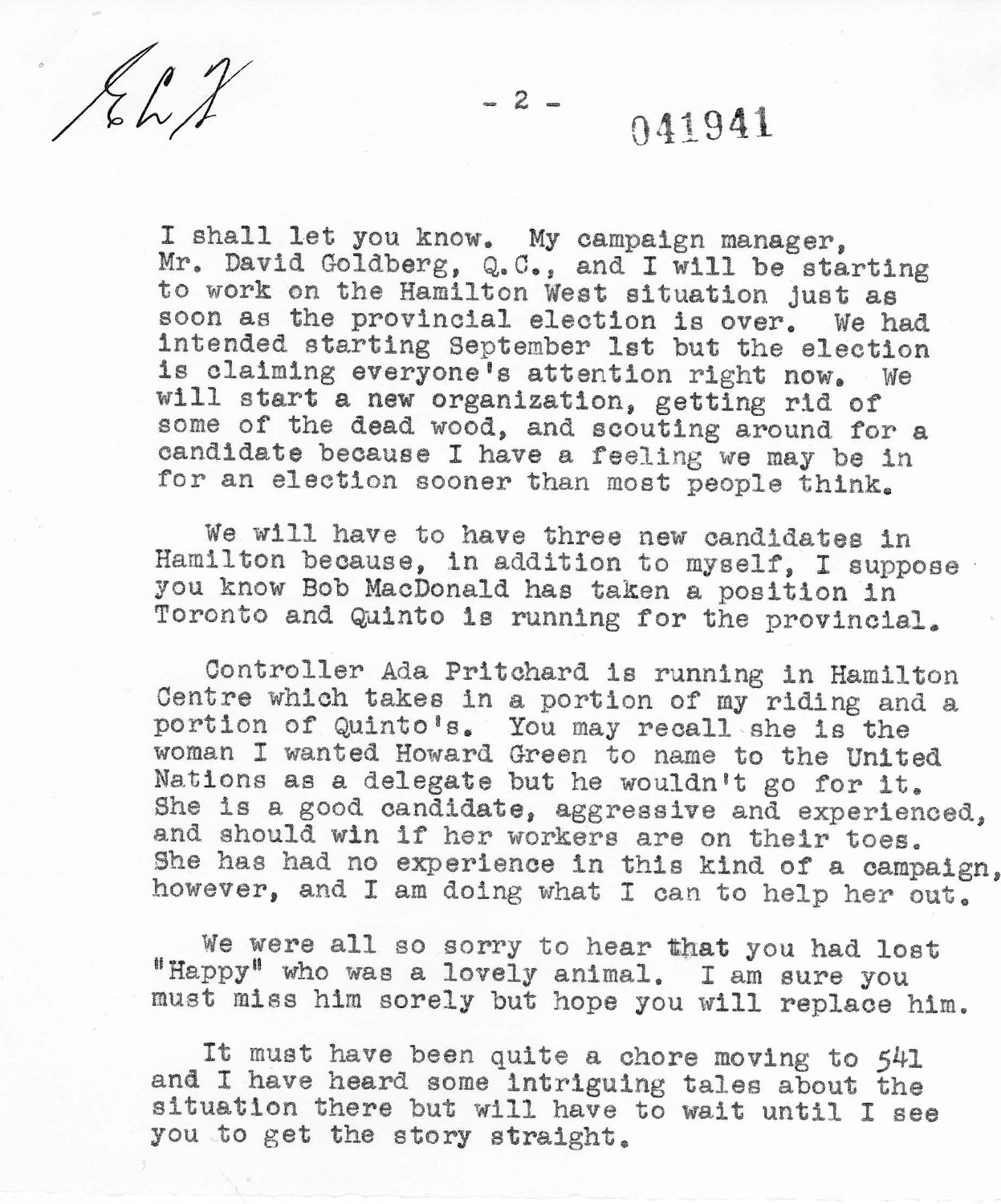$Kh1$ 

 $-2-$ 

## 041941

I shall let you know. My campaign manager, Mr. David Goldberg, Q.C., and I will be starting to work on the Hamilton West situation just as soon as the provincial election is over. We had intended starting September 1st but the election is claiming everyone's attention right now. We will start a new organization, getting rid of some of the dead wood, and scouting around for a candidate because I have a feeling we may be in for an election sooner than most people think.

We will have to have three new candidates in Hamilton because, in addition to myself, I suppose you know Bob MacDonald has taken a position in Toronto and Quinto is running for the provincial.

Controller Ada Pritchard is running in Hamilton Centre which takes in a portion of my riding and a portion of Quinto's. You may recall she is the woman I wanted Howard Green to name to the United Nations as a delegate but he wouldn't go for it. She is a good candidate, aggressive and experienced, and should win if her workers are on their toes. She has had no experience in this kind of a campaign, however, and I am doing what I can to help her out.

We were all so sorry to hear that you had lost "Happy" who was a lovely animal. I am sure you must miss him sorely but hope you will replace him.

It must have been quite a chore moving to 541 and I have heard some intriguing tales about the situation there but will have to wait until I see you to get the story straight.